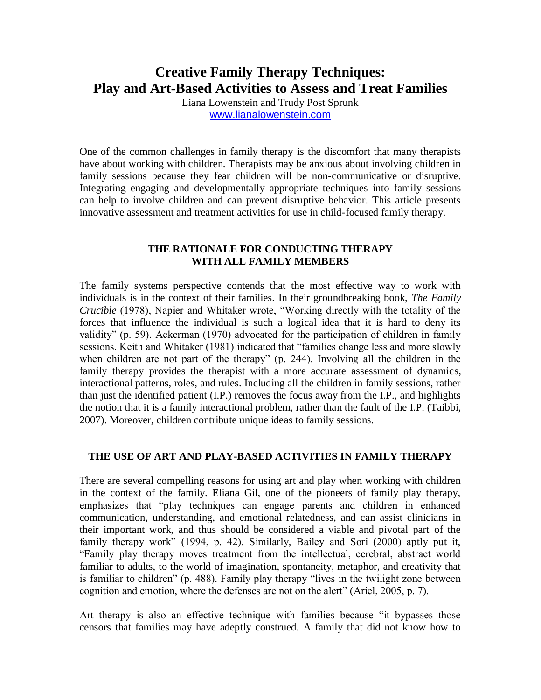# **Creative Family Therapy Techniques: Play and Art-Based Activities to Assess and Treat Families**

Liana Lowenstein and Trudy Post Sprunk [www.lianalowenstein.com](http://www.lianalowenstein.com/)

One of the common challenges in family therapy is the discomfort that many therapists have about working with children. Therapists may be anxious about involving children in family sessions because they fear children will be non-communicative or disruptive. Integrating engaging and developmentally appropriate techniques into family sessions can help to involve children and can prevent disruptive behavior. This article presents innovative assessment and treatment activities for use in child-focused family therapy.

### **THE RATIONALE FOR CONDUCTING THERAPY WITH ALL FAMILY MEMBERS**

The family systems perspective contends that the most effective way to work with individuals is in the context of their families. In their groundbreaking book, *The Family Crucible* (1978), Napier and Whitaker wrote, "Working directly with the totality of the forces that influence the individual is such a logical idea that it is hard to deny its validity" (p. 59). Ackerman (1970) advocated for the participation of children in family sessions. Keith and Whitaker (1981) indicated that "families change less and more slowly when children are not part of the therapy" (p. 244). Involving all the children in the family therapy provides the therapist with a more accurate assessment of dynamics, interactional patterns, roles, and rules. Including all the children in family sessions, rather than just the identified patient (I.P.) removes the focus away from the I.P., and highlights the notion that it is a family interactional problem, rather than the fault of the I.P. (Taibbi, 2007). Moreover, children contribute unique ideas to family sessions.

### **THE USE OF ART AND PLAY-BASED ACTIVITIES IN FAMILY THERAPY**

There are several compelling reasons for using art and play when working with children in the context of the family. Eliana Gil, one of the pioneers of family play therapy, emphasizes that "play techniques can engage parents and children in enhanced communication, understanding, and emotional relatedness, and can assist clinicians in their important work, and thus should be considered a viable and pivotal part of the family therapy work" (1994, p. 42). Similarly, Bailey and Sori (2000) aptly put it, "Family play therapy moves treatment from the intellectual, cerebral, abstract world familiar to adults, to the world of imagination, spontaneity, metaphor, and creativity that is familiar to children" (p. 488). Family play therapy "lives in the twilight zone between cognition and emotion, where the defenses are not on the alert" (Ariel, 2005, p. 7).

Art therapy is also an effective technique with families because "it bypasses those censors that families may have adeptly construed. A family that did not know how to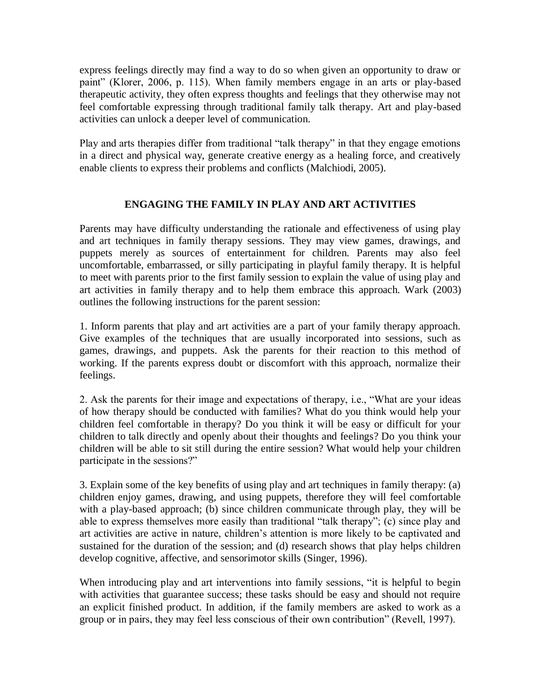express feelings directly may find a way to do so when given an opportunity to draw or paint" (Klorer, 2006, p. 115). When family members engage in an arts or play-based therapeutic activity, they often express thoughts and feelings that they otherwise may not feel comfortable expressing through traditional family talk therapy. Art and play-based activities can unlock a deeper level of communication.

Play and arts therapies differ from traditional "talk therapy" in that they engage emotions in a direct and physical way, generate creative energy as a healing force, and creatively enable clients to express their problems and conflicts (Malchiodi, 2005).

## **ENGAGING THE FAMILY IN PLAY AND ART ACTIVITIES**

Parents may have difficulty understanding the rationale and effectiveness of using play and art techniques in family therapy sessions. They may view games, drawings, and puppets merely as sources of entertainment for children. Parents may also feel uncomfortable, embarrassed, or silly participating in playful family therapy. It is helpful to meet with parents prior to the first family session to explain the value of using play and art activities in family therapy and to help them embrace this approach. Wark (2003) outlines the following instructions for the parent session:

1. Inform parents that play and art activities are a part of your family therapy approach. Give examples of the techniques that are usually incorporated into sessions, such as games, drawings, and puppets. Ask the parents for their reaction to this method of working. If the parents express doubt or discomfort with this approach, normalize their feelings.

2. Ask the parents for their image and expectations of therapy, i.e., "What are your ideas of how therapy should be conducted with families? What do you think would help your children feel comfortable in therapy? Do you think it will be easy or difficult for your children to talk directly and openly about their thoughts and feelings? Do you think your children will be able to sit still during the entire session? What would help your children participate in the sessions?"

3. Explain some of the key benefits of using play and art techniques in family therapy: (a) children enjoy games, drawing, and using puppets, therefore they will feel comfortable with a play-based approach; (b) since children communicate through play, they will be able to express themselves more easily than traditional "talk therapy"; (c) since play and art activities are active in nature, children's attention is more likely to be captivated and sustained for the duration of the session; and (d) research shows that play helps children develop cognitive, affective, and sensorimotor skills (Singer, 1996).

When introducing play and art interventions into family sessions, "it is helpful to begin with activities that guarantee success; these tasks should be easy and should not require an explicit finished product. In addition, if the family members are asked to work as a group or in pairs, they may feel less conscious of their own contribution" (Revell, 1997).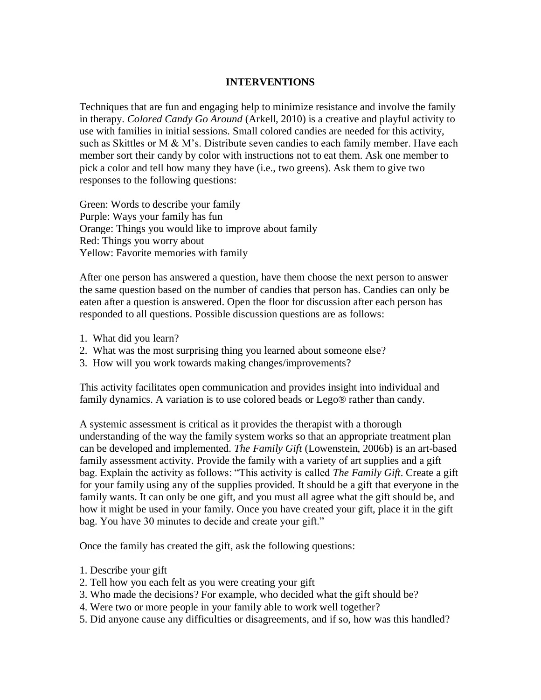#### **INTERVENTIONS**

Techniques that are fun and engaging help to minimize resistance and involve the family in therapy. *Colored Candy Go Around* (Arkell, 2010) is a creative and playful activity to use with families in initial sessions. Small colored candies are needed for this activity, such as Skittles or M & M's. Distribute seven candies to each family member. Have each member sort their candy by color with instructions not to eat them. Ask one member to pick a color and tell how many they have (i.e., two greens). Ask them to give two responses to the following questions:

Green: Words to describe your family Purple: Ways your family has fun Orange: Things you would like to improve about family Red: Things you worry about Yellow: Favorite memories with family

After one person has answered a question, have them choose the next person to answer the same question based on the number of candies that person has. Candies can only be eaten after a question is answered. Open the floor for discussion after each person has responded to all questions. Possible discussion questions are as follows:

- 1. What did you learn?
- 2. What was the most surprising thing you learned about someone else?
- 3. How will you work towards making changes/improvements?

This activity facilitates open communication and provides insight into individual and family dynamics. A variation is to use colored beads or Lego® rather than candy.

A systemic assessment is critical as it provides the therapist with a thorough understanding of the way the family system works so that an appropriate treatment plan can be developed and implemented. *The Family Gift* (Lowenstein, 2006b) is an art-based family assessment activity. Provide the family with a variety of art supplies and a gift bag. Explain the activity as follows: "This activity is called *The Family Gift*. Create a gift for your family using any of the supplies provided. It should be a gift that everyone in the family wants. It can only be one gift, and you must all agree what the gift should be, and how it might be used in your family. Once you have created your gift, place it in the gift bag. You have 30 minutes to decide and create your gift."

Once the family has created the gift, ask the following questions:

- 1. Describe your gift
- 2. Tell how you each felt as you were creating your gift
- 3. Who made the decisions? For example, who decided what the gift should be?
- 4. Were two or more people in your family able to work well together?
- 5. Did anyone cause any difficulties or disagreements, and if so, how was this handled?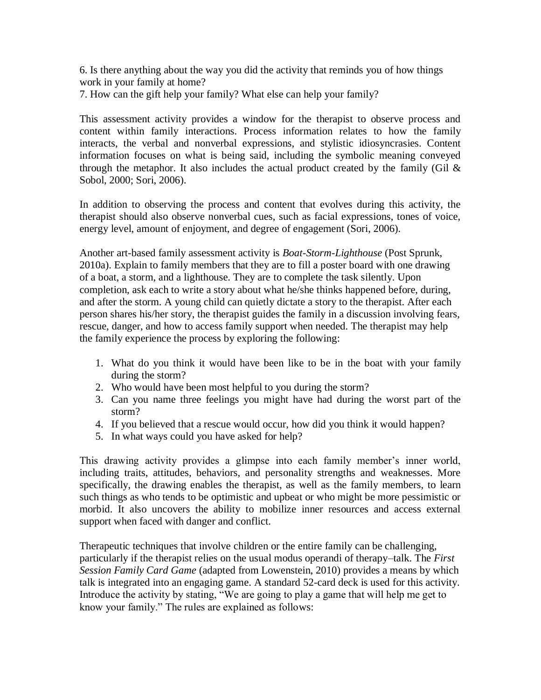6. Is there anything about the way you did the activity that reminds you of how things work in your family at home?

7. How can the gift help your family? What else can help your family?

This assessment activity provides a window for the therapist to observe process and content within family interactions. Process information relates to how the family interacts, the verbal and nonverbal expressions, and stylistic idiosyncrasies. Content information focuses on what is being said, including the symbolic meaning conveyed through the metaphor. It also includes the actual product created by the family (Gil  $\&$ Sobol, 2000; Sori, 2006).

In addition to observing the process and content that evolves during this activity, the therapist should also observe nonverbal cues, such as facial expressions, tones of voice, energy level, amount of enjoyment, and degree of engagement (Sori, 2006).

Another art-based family assessment activity is *Boat-Storm-Lighthouse* (Post Sprunk, 2010a). Explain to family members that they are to fill a poster board with one drawing of a boat, a storm, and a lighthouse. They are to complete the task silently. Upon completion, ask each to write a story about what he/she thinks happened before, during, and after the storm. A young child can quietly dictate a story to the therapist. After each person shares his/her story, the therapist guides the family in a discussion involving fears, rescue, danger, and how to access family support when needed. The therapist may help the family experience the process by exploring the following:

- 1. What do you think it would have been like to be in the boat with your family during the storm?
- 2. Who would have been most helpful to you during the storm?
- 3. Can you name three feelings you might have had during the worst part of the storm?
- 4. If you believed that a rescue would occur, how did you think it would happen?
- 5. In what ways could you have asked for help?

This drawing activity provides a glimpse into each family member's inner world, including traits, attitudes, behaviors, and personality strengths and weaknesses. More specifically, the drawing enables the therapist, as well as the family members, to learn such things as who tends to be optimistic and upbeat or who might be more pessimistic or morbid. It also uncovers the ability to mobilize inner resources and access external support when faced with danger and conflict.

Therapeutic techniques that involve children or the entire family can be challenging, particularly if the therapist relies on the usual modus operandi of therapy–talk. The *First Session Family Card Game* (adapted from Lowenstein, 2010) provides a means by which talk is integrated into an engaging game. A standard 52-card deck is used for this activity. Introduce the activity by stating, "We are going to play a game that will help me get to know your family." The rules are explained as follows: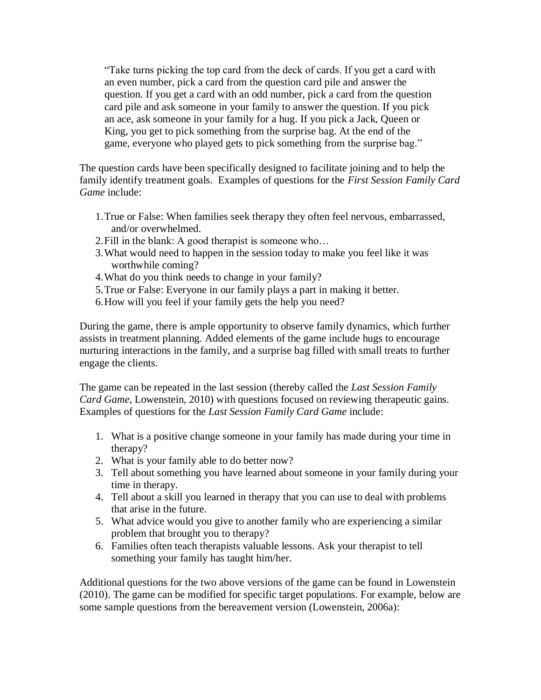"Take turns picking the top card from the deck of cards. If you get a card with an even number, pick a card from the question card pile and answer the question. If you get a card with an odd number, pick a card from the question card pile and ask someone in your family to answer the question. If you pick an ace, ask someone in your family for a hug. If you pick a Jack, Queen or King, you get to pick something from the surprise bag. At the end of the game, everyone who played gets to pick something from the surprise bag."

The question cards have been specifically designed to facilitate joining and to help the family identify treatment goals. Examples of questions for the *First Session Family Card Game* include:

- 1.True or False: When families seek therapy they often feel nervous, embarrassed, and/or overwhelmed.
- 2.Fill in the blank: A good therapist is someone who…
- 3.What would need to happen in the session today to make you feel like it was worthwhile coming?
- 4.What do you think needs to change in your family?
- 5.True or False: Everyone in our family plays a part in making it better.
- 6.How will you feel if your family gets the help you need?

During the game, there is ample opportunity to observe family dynamics, which further assists in treatment planning. Added elements of the game include hugs to encourage nurturing interactions in the family, and a surprise bag filled with small treats to further engage the clients.

The game can be repeated in the last session (thereby called the *Last Session Family Card Game*, Lowenstein, 2010) with questions focused on reviewing therapeutic gains. Examples of questions for the *Last Session Family Card Game* include:

- 1. What is a positive change someone in your family has made during your time in therapy?
- 2. What is your family able to do better now?
- 3. Tell about something you have learned about someone in your family during your time in therapy.
- 4. Tell about a skill you learned in therapy that you can use to deal with problems that arise in the future.
- 5. What advice would you give to another family who are experiencing a similar problem that brought you to therapy?
- 6. Families often teach therapists valuable lessons. Ask your therapist to tell something your family has taught him/her.

Additional questions for the two above versions of the game can be found in Lowenstein (2010). The game can be modified for specific target populations. For example, below are some sample questions from the bereavement version (Lowenstein, 2006a):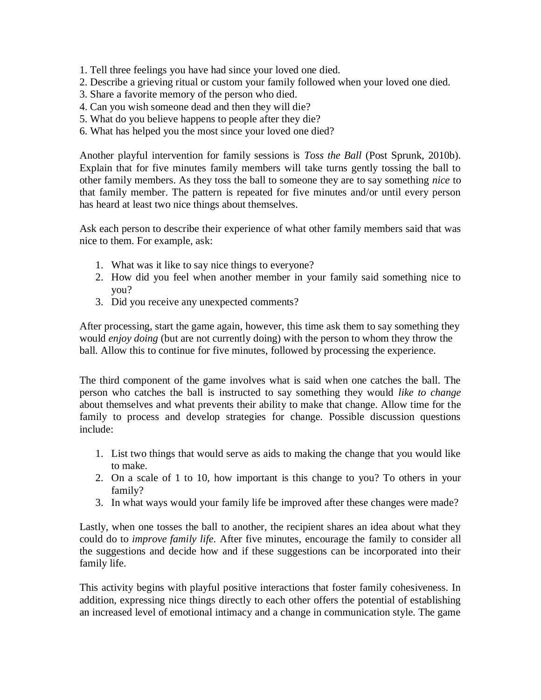- 1. Tell three feelings you have had since your loved one died.
- 2. Describe a grieving ritual or custom your family followed when your loved one died.
- 3. Share a favorite memory of the person who died.
- 4. Can you wish someone dead and then they will die?
- 5. What do you believe happens to people after they die?
- 6. What has helped you the most since your loved one died?

Another playful intervention for family sessions is *Toss the Ball* (Post Sprunk, 2010b). Explain that for five minutes family members will take turns gently tossing the ball to other family members. As they toss the ball to someone they are to say something *nice* to that family member. The pattern is repeated for five minutes and/or until every person has heard at least two nice things about themselves.

Ask each person to describe their experience of what other family members said that was nice to them. For example, ask:

- 1. What was it like to say nice things to everyone?
- 2. How did you feel when another member in your family said something nice to you?
- 3. Did you receive any unexpected comments?

After processing, start the game again, however, this time ask them to say something they would *enjoy doing* (but are not currently doing) with the person to whom they throw the ball. Allow this to continue for five minutes, followed by processing the experience.

The third component of the game involves what is said when one catches the ball. The person who catches the ball is instructed to say something they would *like to change* about themselves and what prevents their ability to make that change. Allow time for the family to process and develop strategies for change. Possible discussion questions include:

- 1. List two things that would serve as aids to making the change that you would like to make.
- 2. On a scale of 1 to 10, how important is this change to you? To others in your family?
- 3. In what ways would your family life be improved after these changes were made?

Lastly, when one tosses the ball to another, the recipient shares an idea about what they could do to *improve family life.* After five minutes, encourage the family to consider all the suggestions and decide how and if these suggestions can be incorporated into their family life.

This activity begins with playful positive interactions that foster family cohesiveness. In addition, expressing nice things directly to each other offers the potential of establishing an increased level of emotional intimacy and a change in communication style. The game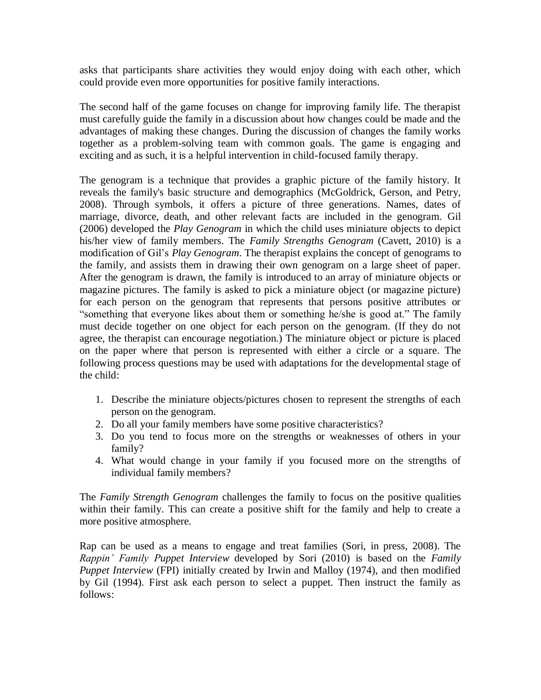asks that participants share activities they would enjoy doing with each other, which could provide even more opportunities for positive family interactions.

The second half of the game focuses on change for improving family life. The therapist must carefully guide the family in a discussion about how changes could be made and the advantages of making these changes. During the discussion of changes the family works together as a problem-solving team with common goals. The game is engaging and exciting and as such, it is a helpful intervention in child-focused family therapy.

The genogram is a technique that provides a graphic picture of the family history. It reveals the family's basic structure and demographics (McGoldrick, Gerson, and Petry, 2008). Through symbols, it offers a picture of three generations. Names, dates of marriage, divorce, death, and other relevant facts are included in the genogram. Gil (2006) developed the *Play Genogram* in which the child uses miniature objects to depict his/her view of family members. The *Family Strengths Genogram* (Cavett, 2010) is a modification of Gil's *Play Genogram*. The therapist explains the concept of genograms to the family, and assists them in drawing their own genogram on a large sheet of paper. After the genogram is drawn, the family is introduced to an array of miniature objects or magazine pictures. The family is asked to pick a miniature object (or magazine picture) for each person on the genogram that represents that persons positive attributes or "something that everyone likes about them or something he/she is good at." The family must decide together on one object for each person on the genogram. (If they do not agree, the therapist can encourage negotiation.) The miniature object or picture is placed on the paper where that person is represented with either a circle or a square. The following process questions may be used with adaptations for the developmental stage of the child:

- 1. Describe the miniature objects/pictures chosen to represent the strengths of each person on the genogram.
- 2. Do all your family members have some positive characteristics?
- 3. Do you tend to focus more on the strengths or weaknesses of others in your family?
- 4. What would change in your family if you focused more on the strengths of individual family members?

The *Family Strength Genogram* challenges the family to focus on the positive qualities within their family. This can create a positive shift for the family and help to create a more positive atmosphere.

Rap can be used as a means to engage and treat families (Sori, in press, 2008). The *Rappin' Family Puppet Interview* developed by Sori (2010) is based on the *Family Puppet Interview* (FPI) initially created by Irwin and Malloy (1974), and then modified by Gil (1994). First ask each person to select a puppet. Then instruct the family as follows: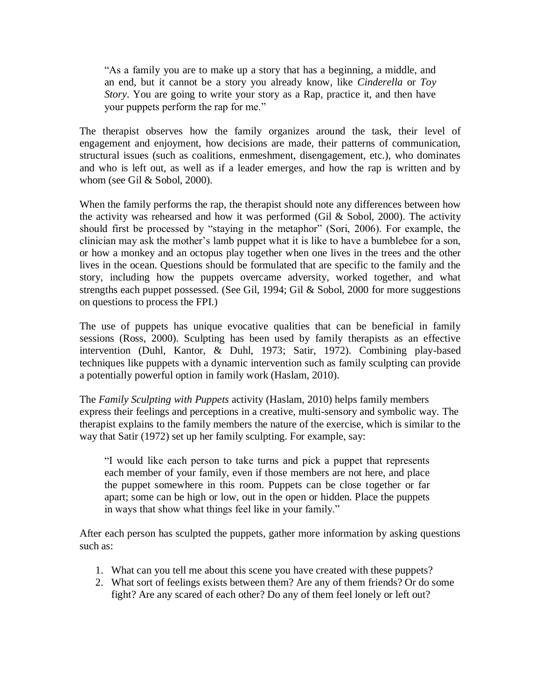"As a family you are to make up a story that has a beginning, a middle, and an end, but it cannot be a story you already know, like *Cinderella* or *Toy Story*. You are going to write your story as a Rap, practice it, and then have your puppets perform the rap for me."

The therapist observes how the family organizes around the task, their level of engagement and enjoyment, how decisions are made, their patterns of communication, structural issues (such as coalitions, enmeshment, disengagement, etc.), who dominates and who is left out, as well as if a leader emerges, and how the rap is written and by whom (see Gil & Sobol, 2000).

When the family performs the rap, the therapist should note any differences between how the activity was rehearsed and how it was performed (Gil  $&$  Sobol, 2000). The activity should first be processed by "staying in the metaphor" (Sori, 2006). For example, the clinician may ask the mother's lamb puppet what it is like to have a bumblebee for a son, or how a monkey and an octopus play together when one lives in the trees and the other lives in the ocean. Questions should be formulated that are specific to the family and the story, including how the puppets overcame adversity, worked together, and what strengths each puppet possessed. (See Gil, 1994; Gil & Sobol, 2000 for more suggestions on questions to process the FPI.)

The use of puppets has unique evocative qualities that can be beneficial in family sessions (Ross, 2000). Sculpting has been used by family therapists as an effective intervention (Duhl, Kantor, & Duhl, 1973; Satir, 1972). Combining play-based techniques like puppets with a dynamic intervention such as family sculpting can provide a potentially powerful option in family work (Haslam, 2010).

The *Family Sculpting with Puppets* activity (Haslam, 2010) helps family members express their feelings and perceptions in a creative, multi-sensory and symbolic way. The therapist explains to the family members the nature of the exercise, which is similar to the way that Satir (1972) set up her family sculpting. For example, say:

"I would like each person to take turns and pick a puppet that represents each member of your family, even if those members are not here, and place the puppet somewhere in this room. Puppets can be close together or far apart; some can be high or low, out in the open or hidden. Place the puppets in ways that show what things feel like in your family."

After each person has sculpted the puppets, gather more information by asking questions such as:

- 1. What can you tell me about this scene you have created with these puppets?
- 2. What sort of feelings exists between them? Are any of them friends? Or do some fight? Are any scared of each other? Do any of them feel lonely or left out?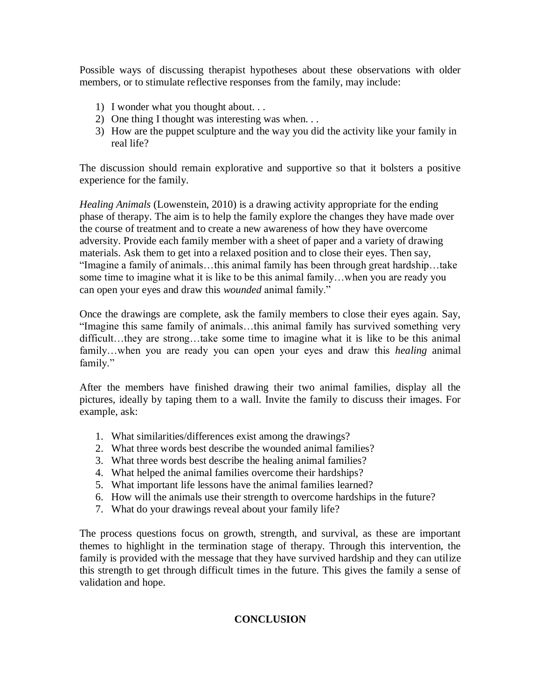Possible ways of discussing therapist hypotheses about these observations with older members, or to stimulate reflective responses from the family, may include:

- 1) I wonder what you thought about. . .
- 2) One thing I thought was interesting was when. . .
- 3) How are the puppet sculpture and the way you did the activity like your family in real life?

The discussion should remain explorative and supportive so that it bolsters a positive experience for the family.

*Healing Animals* (Lowenstein, 2010) is a drawing activity appropriate for the ending phase of therapy. The aim is to help the family explore the changes they have made over the course of treatment and to create a new awareness of how they have overcome adversity. Provide each family member with a sheet of paper and a variety of drawing materials. Ask them to get into a relaxed position and to close their eyes. Then say, "Imagine a family of animals…this animal family has been through great hardship…take some time to imagine what it is like to be this animal family…when you are ready you can open your eyes and draw this *wounded* animal family."

Once the drawings are complete, ask the family members to close their eyes again. Say, "Imagine this same family of animals…this animal family has survived something very difficult…they are strong…take some time to imagine what it is like to be this animal family…when you are ready you can open your eyes and draw this *healing* animal family."

After the members have finished drawing their two animal families, display all the pictures, ideally by taping them to a wall. Invite the family to discuss their images. For example, ask:

- 1. What similarities/differences exist among the drawings?
- 2. What three words best describe the wounded animal families?
- 3. What three words best describe the healing animal families?
- 4. What helped the animal families overcome their hardships?
- 5. What important life lessons have the animal families learned?
- 6. How will the animals use their strength to overcome hardships in the future?
- 7. What do your drawings reveal about your family life?

The process questions focus on growth, strength, and survival, as these are important themes to highlight in the termination stage of therapy. Through this intervention, the family is provided with the message that they have survived hardship and they can utilize this strength to get through difficult times in the future. This gives the family a sense of validation and hope.

### **CONCLUSION**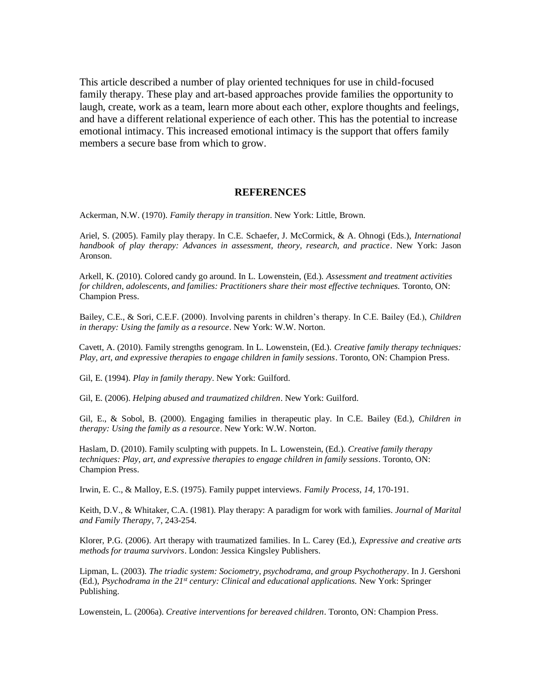This article described a number of play oriented techniques for use in child-focused family therapy. These play and art-based approaches provide families the opportunity to laugh, create, work as a team, learn more about each other, explore thoughts and feelings, and have a different relational experience of each other. This has the potential to increase emotional intimacy. This increased emotional intimacy is the support that offers family members a secure base from which to grow.

#### **REFERENCES**

Ackerman, N.W. (1970). *Family therapy in transition*. New York: Little, Brown.

Ariel, S. (2005). Family play therapy. In C.E. Schaefer, J. McCormick, & A. Ohnogi (Eds.), *International handbook of play therapy: Advances in assessment, theory, research, and practice*. New York: Jason Aronson.

Arkell, K. (2010). Colored candy go around. In L. Lowenstein, (Ed.). *Assessment and treatment activities for children, adolescents, and families: Practitioners share their most effective techniques.* Toronto, ON: Champion Press.

Bailey, C.E., & Sori, C.E.F. (2000). Involving parents in children's therapy. In C.E. Bailey (Ed.), *Children in therapy: Using the family as a resource*. New York: W.W. Norton.

Cavett, A. (2010). Family strengths genogram. In L. Lowenstein, (Ed.). *Creative family therapy techniques: Play, art, and expressive therapies to engage children in family sessions*. Toronto, ON: Champion Press.

Gil, E. (1994). *Play in family therapy*. New York: Guilford.

Gil, E. (2006). *Helping abused and traumatized children*. New York: Guilford.

Gil, E., & Sobol, B. (2000). Engaging families in therapeutic play. In C.E. Bailey (Ed.), *Children in therapy: Using the family as a resource*. New York: W.W. Norton.

Haslam, D. (2010). Family sculpting with puppets. In L. Lowenstein, (Ed.). *Creative family therapy techniques: Play, art, and expressive therapies to engage children in family sessions*. Toronto, ON: Champion Press.

Irwin, E. C., & Malloy, E.S. (1975). Family puppet interviews. *Family Process, 14,* 170-191.

Keith, D.V., & Whitaker, C.A. (1981). Play therapy: A paradigm for work with families. *Journal of Marital and Family Therapy*, 7, 243-254.

Klorer, P.G. (2006). Art therapy with traumatized families. In L. Carey (Ed.), *Expressive and creative arts methods for trauma survivors*. London: Jessica Kingsley Publishers.

Lipman, L. (2003). *The triadic system: Sociometry, psychodrama, and group Psychotherapy*. In J. Gershoni (Ed.), *Psychodrama in the 21st century: Clinical and educational applications.* New York: Springer Publishing.

Lowenstein, L. (2006a). *Creative interventions for bereaved children*. Toronto, ON: Champion Press.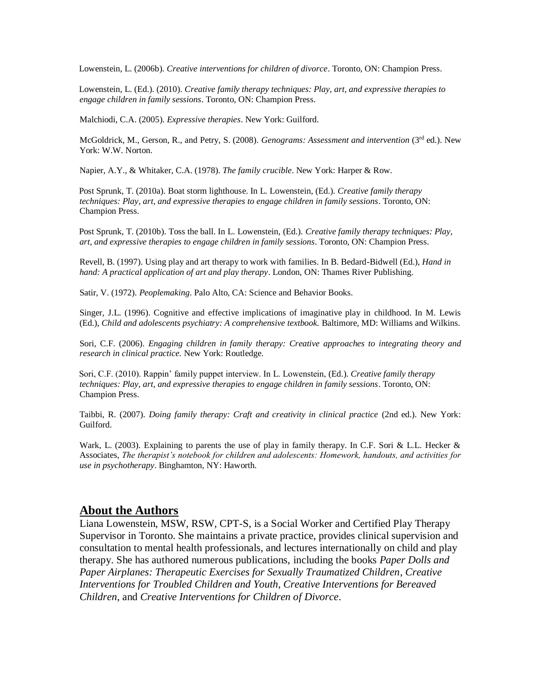Lowenstein, L. (2006b). *Creative interventions for children of divorce*. Toronto, ON: Champion Press.

Lowenstein, L. (Ed.). (2010). *Creative family therapy techniques: Play, art, and expressive therapies to engage children in family sessions*. Toronto, ON: Champion Press.

Malchiodi, C.A. (2005). *Expressive therapies*. New York: Guilford.

McGoldrick, M., Gerson, R., and Petry, S. (2008). *Genograms: Assessment and intervention* (3rd ed.). New York: W.W. Norton.

Napier, A.Y., & Whitaker, C.A. (1978). *The family crucible*. New York: Harper & Row.

Post Sprunk, T. (2010a). Boat storm lighthouse. In L. Lowenstein, (Ed.). *Creative family therapy techniques: Play, art, and expressive therapies to engage children in family sessions*. Toronto, ON: Champion Press.

Post Sprunk, T. (2010b). Toss the ball. In L. Lowenstein, (Ed.). *Creative family therapy techniques: Play, art, and expressive therapies to engage children in family sessions*. Toronto, ON: Champion Press.

Revell, B. (1997). Using play and art therapy to work with families. In B. Bedard-Bidwell (Ed.), *Hand in hand: A practical application of art and play therapy*. London, ON: Thames River Publishing.

Satir, V. (1972). *Peoplemaking*. Palo Alto, CA: Science and Behavior Books.

Singer, J.L. (1996). Cognitive and effective implications of imaginative play in childhood. In M. Lewis (Ed.), *Child and adolescents psychiatry: A comprehensive textbook.* Baltimore, MD: Williams and Wilkins.

Sori, C.F. (2006). *Engaging children in family therapy: Creative approaches to integrating theory and research in clinical practice.* New York: Routledge.

Sori, C.F. (2010). Rappin' family puppet interview. In L. Lowenstein, (Ed.). *Creative family therapy techniques: Play, art, and expressive therapies to engage children in family sessions*. Toronto, ON: Champion Press.

Taibbi, R. (2007). *Doing family therapy: Craft and creativity in clinical practice* (2nd ed.). New York: Guilford.

Wark, L. (2003). Explaining to parents the use of play in family therapy. In C.F. Sori & L.L. Hecker & Associates, *The therapist's notebook for children and adolescents: Homework, handouts, and activities for use in psychotherapy*. Binghamton, NY: Haworth.

#### **About the Authors**

Liana Lowenstein, MSW, RSW, CPT-S, is a Social Worker and Certified Play Therapy Supervisor in Toronto. She maintains a private practice, provides clinical supervision and consultation to mental health professionals, and lectures internationally on child and play therapy. She has authored numerous publications, including the books *Paper Dolls and Paper Airplanes: Therapeutic Exercises for Sexually Traumatized Children*, *Creative Interventions for Troubled Children and Youth*, *Creative Interventions for Bereaved Children*, and *Creative Interventions for Children of Divorce*.